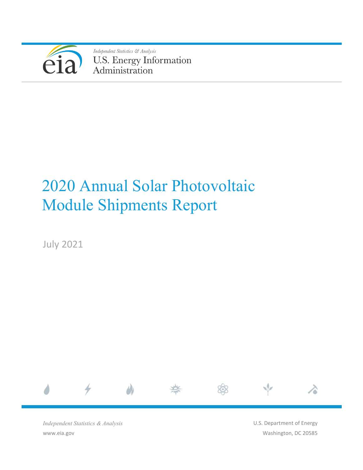

Independent Statistics & Analysis U.S. Energy Information<br>Administration

# 2020 Annual Solar Photovoltaic Module Shipments Report

July 2021



*Independent Statistics & Analysis* www.eia.gov

U.S. Department of Energy Washington, DC 20585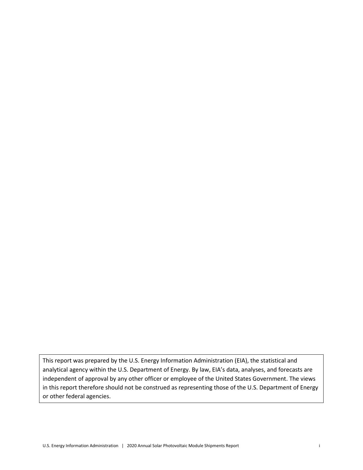This report was prepared by the U.S. Energy Information Administration (EIA), the statistical and analytical agency within the U.S. Department of Energy. By law, EIA's data, analyses, and forecasts are independent of approval by any other officer or employee of the United States Government. The views in this report therefore should not be construed as representing those of the U.S. Department of Energy or other federal agencies.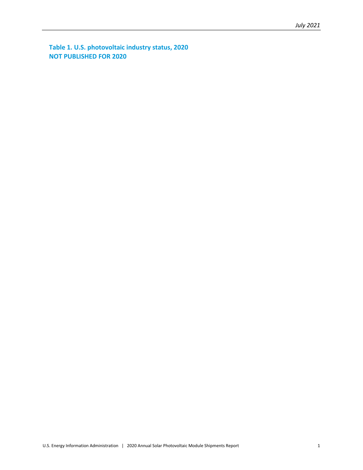**Table 1. U.S. photovoltaic industry status, 2020 NOT PUBLISHED FOR 2020**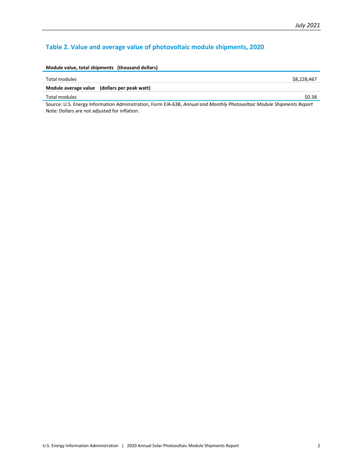### **Table 2. Value and average value of photovoltaic module shipments, 2020**

| Module value, total shipments (thousand dollars) |             |
|--------------------------------------------------|-------------|
| Total modules                                    | \$8,228,467 |
| Module average value (dollars per peak watt)     |             |
| Total modules                                    | \$0.38      |
| $\sim$ $\sim$                                    |             |

Source: U.S. Energy Information Administration, Form EIA-63B, *Annual and Monthly Photovoltaic Module Shipments Report* Note: Dollars are not adjusted for inflation.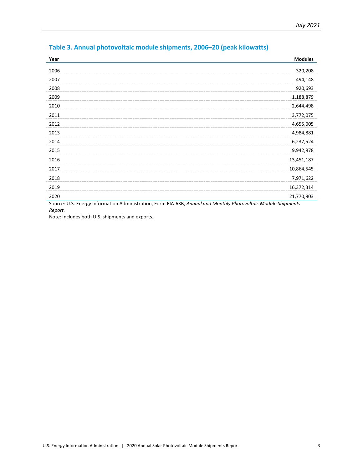| Year                                                                                                        | <b>Modules</b> |  |
|-------------------------------------------------------------------------------------------------------------|----------------|--|
| 2006                                                                                                        | 320,208        |  |
| 2007                                                                                                        | 494,148        |  |
| 2008                                                                                                        | 920,693        |  |
| 2009                                                                                                        | 1,188,879      |  |
| 2010                                                                                                        | 2,644,498      |  |
| 2011                                                                                                        | 3,772,075      |  |
| 2012                                                                                                        | 4,655,005      |  |
| 2013                                                                                                        | 4,984,881      |  |
| 2014                                                                                                        | 6,237,524      |  |
| 2015                                                                                                        | 9,942,978      |  |
| 2016                                                                                                        | 13,451,187     |  |
| 2017                                                                                                        | 10,864,545     |  |
| 2018                                                                                                        | 7,971,622      |  |
| 2019                                                                                                        | 16,372,314     |  |
| 2020                                                                                                        | 21,770,903     |  |
| Course LLC Energy Information Administration Form ELA COD, Annual and Monthly Dhotovoltais Module Chinmonts |                |  |

## **Table 3. Annual photovoltaic module shipments, 2006–20 (peak kilowatts)**

Source: U.S. Energy Information Administration, Form EIA-63B, *Annual and Monthly Photovoltaic Module Shipments Report.*

Note: Includes both U.S. shipments and exports.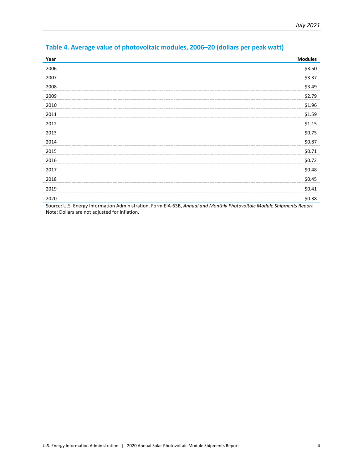| Year                                                                                                                                                                                                                                                                                                   | <b>Modules</b>          |
|--------------------------------------------------------------------------------------------------------------------------------------------------------------------------------------------------------------------------------------------------------------------------------------------------------|-------------------------|
| 2006                                                                                                                                                                                                                                                                                                   | \$3.50                  |
| 2007                                                                                                                                                                                                                                                                                                   | \$3.37                  |
| 2008                                                                                                                                                                                                                                                                                                   | \$3.49                  |
| 2009                                                                                                                                                                                                                                                                                                   | \$2.79                  |
| 2010                                                                                                                                                                                                                                                                                                   | \$1.96                  |
| 2011                                                                                                                                                                                                                                                                                                   | \$1.59                  |
| 2012                                                                                                                                                                                                                                                                                                   | \$1.15                  |
| 2013                                                                                                                                                                                                                                                                                                   | \$0.75                  |
| 2014                                                                                                                                                                                                                                                                                                   | \$0.87                  |
| 2015                                                                                                                                                                                                                                                                                                   | \$0.71                  |
| 2016                                                                                                                                                                                                                                                                                                   | \$0.72                  |
| 2017                                                                                                                                                                                                                                                                                                   | \$0.48                  |
| 2018                                                                                                                                                                                                                                                                                                   | \$0.45                  |
| 2019                                                                                                                                                                                                                                                                                                   | \$0.41                  |
| 2020<br>$\sim$ $\sim$<br>$\mathbf{r}$ . The state of the state of the state of the state of the state of the state of the state of the state of the state of the state of the state of the state of the state of the state of the state of the state of th<br>$-1$ $-2$ $-1$<br>$\cdot$ $\cdot$ $\sim$ | \$0.38<br>$\sim$ $\sim$ |

## **Table 4. Average value of photovoltaic modules, 2006–20 (dollars per peak watt)**

Source: U.S. Energy Information Administration, Form EIA-63B, *Annual and Monthly Photovoltaic Module Shipments Report* Note: Dollars are not adjusted for inflation.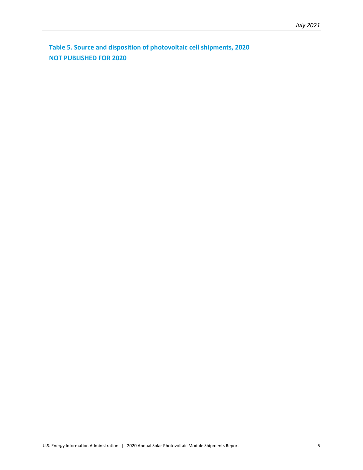**Table 5. Source and disposition of photovoltaic cell shipments, 2020 NOT PUBLISHED FOR 2020**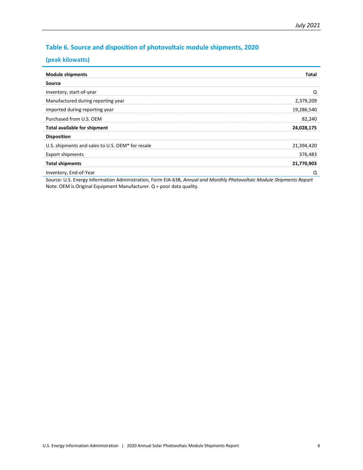#### **Table 6. Source and disposition of photovoltaic module shipments, 2020**

#### **(peak kilowatts)**

| <b>Module shipments</b>                          | Total      |
|--------------------------------------------------|------------|
| <b>Source</b>                                    |            |
| Inventory, start-of-year                         | Q          |
| Manufactured during reporting year               | 2,379,209  |
| Imported during reporting year                   | 19,286,540 |
| Purchased from U.S. OEM                          | 82,240     |
| <b>Total available for shipment</b>              | 24,028,175 |
| <b>Disposition</b>                               |            |
| U.S. shipments and sales to U.S. OEM* for resale | 21,394,420 |
| <b>Export shipments</b>                          | 376,483    |
| <b>Total shipments</b>                           | 21,770,903 |
| Inventory, End-of-Year                           | Q          |

Source: U.S. Energy Information Administration, Form EIA-63B, *Annual and Monthly Photovoltaic Module Shipments Report* Note: OEM is Original Equipment Manufacturer. Q = poor data quality.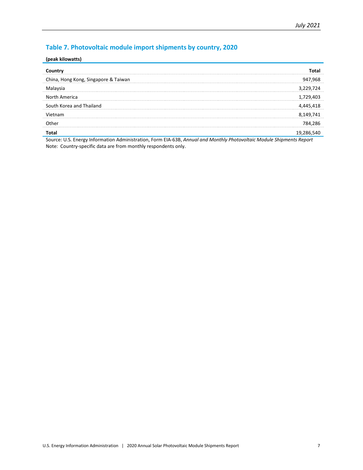### **Table 7. Photovoltaic module import shipments by country, 2020**

#### **(peak kilowatts)**

| China, Hong Kong, Singapore & Taiwan | 947,968   |
|--------------------------------------|-----------|
| Malaysia                             | 3,229,724 |
| North America                        | 1,729,403 |
| South Korea and Thailand             | 4,445,418 |
| Vietnam                              | 8,149,741 |
| <b>Other</b>                         | 784,286   |
|                                      | 19,286    |

Source: U.S. Energy Information Administration, Form EIA-63B, *Annual and Monthly Photovoltaic Module Shipments Report* Note: Country-specific data are from monthly respondents only.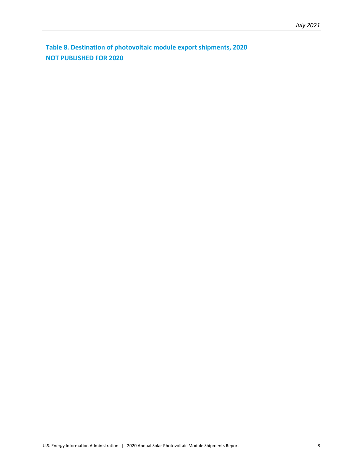**Table 8. Destination of photovoltaic module export shipments, 2020 NOT PUBLISHED FOR 2020**